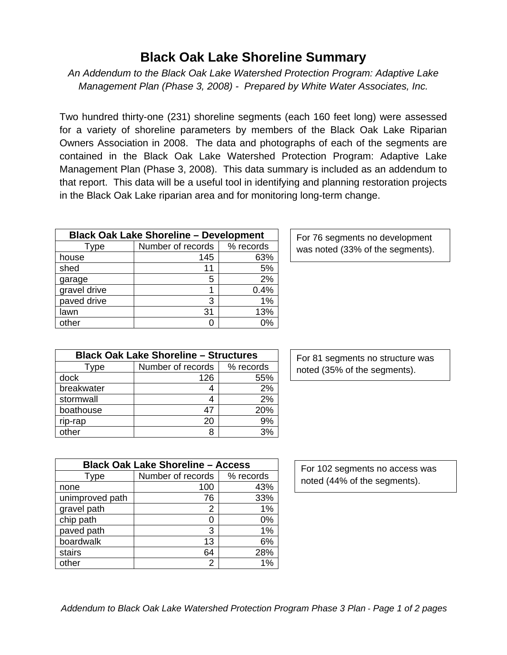## **Black Oak Lake Shoreline Summary**

*An Addendum to the Black Oak Lake Watershed Protection Program: Adaptive Lake Management Plan (Phase 3, 2008) - Prepared by White Water Associates, Inc.* 

Two hundred thirty-one (231) shoreline segments (each 160 feet long) were assessed for a variety of shoreline parameters by members of the Black Oak Lake Riparian Owners Association in 2008. The data and photographs of each of the segments are contained in the Black Oak Lake Watershed Protection Program: Adaptive Lake Management Plan (Phase 3, 2008). This data summary is included as an addendum to that report. This data will be a useful tool in identifying and planning restoration projects in the Black Oak Lake riparian area and for monitoring long-term change.

| <b>Black Oak Lake Shoreline - Development</b> |                   |           |
|-----------------------------------------------|-------------------|-----------|
| Type                                          | Number of records | % records |
| house                                         | 145               | 63%       |
| shed                                          | 11                | 5%        |
| garage                                        | 5                 | 2%        |
| gravel drive                                  |                   | 0.4%      |
| paved drive                                   | 3                 | 1%        |
| lawn                                          | 31                | 13%       |
| other                                         |                   | 0%        |

For 76 segments no development was noted (33% of the segments).

| <b>Black Oak Lake Shoreline - Structures</b> |                   |           |
|----------------------------------------------|-------------------|-----------|
| Type                                         | Number of records | % records |
| dock                                         | 126               | 55%       |
| breakwater                                   |                   | 2%        |
| stormwall                                    |                   | 2%        |
| boathouse                                    | 47                | 20%       |
| rip-rap                                      | 20                | 9%        |
| other                                        |                   | 3%        |

For 81 segments no structure was noted (35% of the segments).

| <b>Black Oak Lake Shoreline - Access</b> |                   |           |
|------------------------------------------|-------------------|-----------|
| Type                                     | Number of records | % records |
| none                                     | 100               | 43%       |
| unimproved path                          | 76                | 33%       |
| gravel path                              | 2                 | 1%        |
| chip path                                | ი                 | 0%        |
| paved path                               | 3                 | 1%        |
| boardwalk                                | 13                | 6%        |
| stairs                                   | 64                | 28%       |
| other                                    | 2                 | 1%        |

For 102 segments no access was noted (44% of the segments).